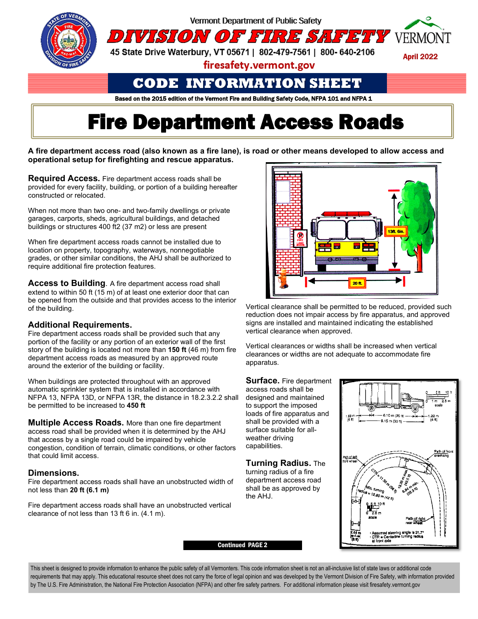

## **CODE INFORMATION SHEET**

Based on the 2015 edition of the Vermont Fire and Building Safety Code, NFPA 101 and NFPA 1

# **Fire Department Access Roads**

**A fire department access road (also known as a fire lane), is road or other means developed to allow access and operational setup for firefighting and rescue apparatus.**

**Required Access.** Fire department access roads shall be provided for every facility, building, or portion of a building hereafter constructed or relocated.

When not more than two one- and two-family dwellings or private garages, carports, sheds, agricultural buildings, and detached buildings or structures 400 ft2 (37 m2) or less are present

When fire department access roads cannot be installed due to location on property, topography, waterways, nonnegotiable grades, or other similar conditions, the AHJ shall be authorized to require additional fire protection features.

**Access to Building**. A fire department access road shall extend to within 50 ft (15 m) of at least one exterior door that can be opened from the outside and that provides access to the interior of the building.

#### **Additional Requirements.**

Fire department access roads shall be provided such that any portion of the facility or any portion of an exterior wall of the first story of the building is located not more than **150 ft** (46 m) from fire department access roads as measured by an approved route around the exterior of the building or facility.

When buildings are protected throughout with an approved automatic sprinkler system that is installed in accordance with NFPA 13, NFPA 13D, or NFPA 13R, the distance in 18.2.3.2.2 shall be permitted to be increased to **450 ft**

**Multiple Access Roads.** More than one fire department access road shall be provided when it is determined by the AHJ that access by a single road could be impaired by vehicle congestion, condition of terrain, climatic conditions, or other factors that could limit access.

#### **Dimensions.**

Fire department access roads shall have an unobstructed width of not less than **20 ft (6.1 m)**

Fire department access roads shall have an unobstructed vertical clearance of not less than 13 ft 6 in. (4.1 m).



Vertical clearance shall be permitted to be reduced, provided such reduction does not impair access by fire apparatus, and approved signs are installed and maintained indicating the established vertical clearance when approved.

Vertical clearances or widths shall be increased when vertical clearances or widths are not adequate to accommodate fire apparatus.

**Surface.** Fire department access roads shall be designed and maintained to support the imposed loads of fire apparatus and shall be provided with a surface suitable for allweather driving capabilities.

**Turning Radius.** The turning radius of a fire

department access road shall be as approved by the AHJ.



This sheet is designed to provide information to enhance the public safety of all Vermonters. This code information sheet is not an all-inclusive list of state laws or additional code requirements that may apply. This educational resource sheet does not carry the force of legal opinion and was developed by the Vermont Division of Fire Safety, with information provided by The U.S. Fire Administration, the National Fire Protection Association (NFPA) and other fire safety partners. For additional information please visit firesafety.vermont.gov

Continued PAGE 2